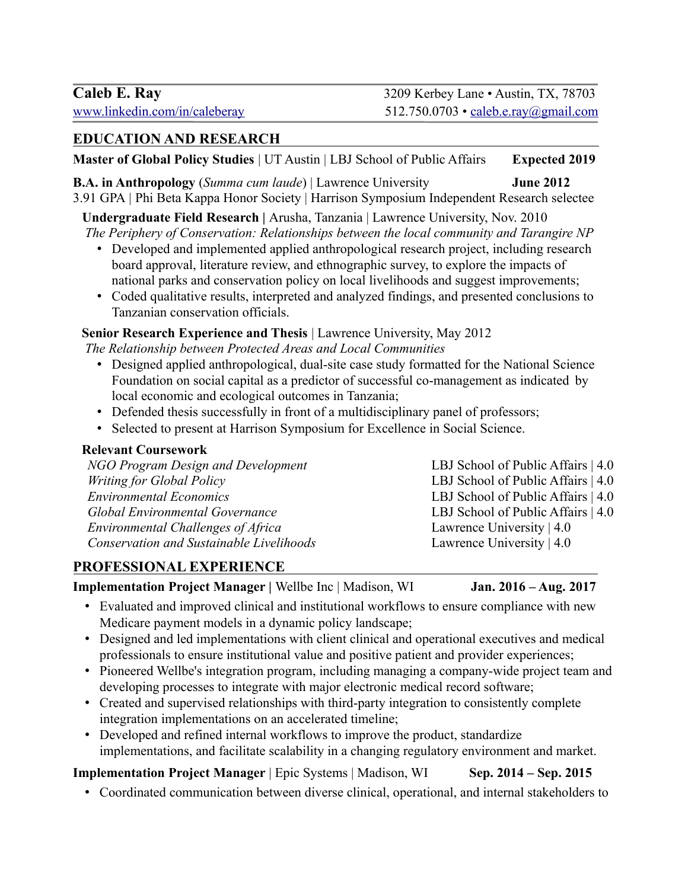### **EDUCATION AND RESEARCH**

**Master of Global Policy Studies** | UT Austin | LBJ School of Public Affairs **Expected 2019**

**B.A. in Anthropology** (*Summa cum laude*) | Lawrence University **June 2012** 3.91 GPA *|* Phi Beta Kappa Honor Society | Harrison Symposium Independent Research selectee

**Undergraduate Field Research |** Arusha, Tanzania | Lawrence University, Nov. 2010 *The Periphery of Conservation: Relationships between the local community and Tarangire NP*

- Developed and implemented applied anthropological research project, including research board approval, literature review, and ethnographic survey, to explore the impacts of national parks and conservation policy on local livelihoods and suggest improvements;
- Coded qualitative results, interpreted and analyzed findings, and presented conclusions to Tanzanian conservation officials.

#### **Senior Research Experience and Thesis** | Lawrence University, May 2012

*The Relationship between Protected Areas and Local Communities*

- Designed applied anthropological, dual-site case study formatted for the National Science Foundation on social capital as a predictor of successful co-management as indicated by local economic and ecological outcomes in Tanzania;
- Defended thesis successfully in front of a multidisciplinary panel of professors;
- Selected to present at Harrison Symposium for Excellence in Social Science.

#### **Relevant Coursework**

| NGO Program Design and Development       | LBJ School of Public Affairs   4.0 |
|------------------------------------------|------------------------------------|
| Writing for Global Policy                | LBJ School of Public Affairs   4.0 |
| <b>Environmental Economics</b>           | LBJ School of Public Affairs   4.0 |
| <b>Global Environmental Governance</b>   | LBJ School of Public Affairs   4.0 |
| Environmental Challenges of Africa       | Lawrence University $ 4.0 $        |
| Conservation and Sustainable Livelihoods | Lawrence University $ 4.0$         |

### **PROFESSIONAL EXPERIENCE**

**Implementation Project Manager | Wellbe Inc | Madison, WI Jan. 2016 – Aug. 2017** 

- Evaluated and improved clinical and institutional workflows to ensure compliance with new Medicare payment models in a dynamic policy landscape;
- Designed and led implementations with client clinical and operational executives and medical professionals to ensure institutional value and positive patient and provider experiences;
- Pioneered Wellbe's integration program, including managing a company-wide project team and developing processes to integrate with major electronic medical record software;
- Created and supervised relationships with third-party integration to consistently complete integration implementations on an accelerated timeline;
- Developed and refined internal workflows to improve the product, standardize implementations, and facilitate scalability in a changing regulatory environment and market.

# **Implementation Project Manager** | Epic Systems | Madison, WI Sep. 2014 – Sep. 2015

- 
- Coordinated communication between diverse clinical, operational, and internal stakeholders to